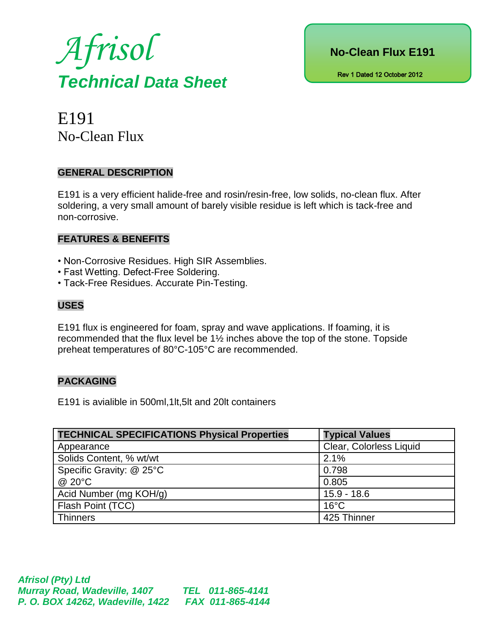



E191 No-Clean Flux

#### **GENERAL DESCRIPTION**

E191 is a very efficient halide-free and rosin/resin-free, low solids, no-clean flux. After soldering, a very small amount of barely visible residue is left which is tack-free and non-corrosive.

#### **FEATURES & BENEFITS**

- Non-Corrosive Residues. High SIR Assemblies.
- Fast Wetting. Defect-Free Soldering.
- Tack-Free Residues. Accurate Pin-Testing.

## **USES**

E191 flux is engineered for foam, spray and wave applications. If foaming, it is recommended that the flux level be 1½ inches above the top of the stone. Topside preheat temperatures of 80°C-105°C are recommended.

## **PACKAGING**

E191 is avialible in 500ml,1lt,5lt and 20lt containers

| <b>TECHNICAL SPECIFICATIONS Physical Properties</b> | <b>Typical Values</b>   |  |
|-----------------------------------------------------|-------------------------|--|
| Appearance                                          | Clear, Colorless Liquid |  |
| Solids Content, % wt/wt                             | 2.1%                    |  |
| Specific Gravity: @ 25°C                            | 0.798                   |  |
| @ 20°C                                              | 0.805                   |  |
| Acid Number (mg KOH/g)                              | $15.9 - 18.6$           |  |
| Flash Point (TCC)                                   | $16^{\circ}$ C          |  |
| <b>Thinners</b>                                     | 425 Thinner             |  |